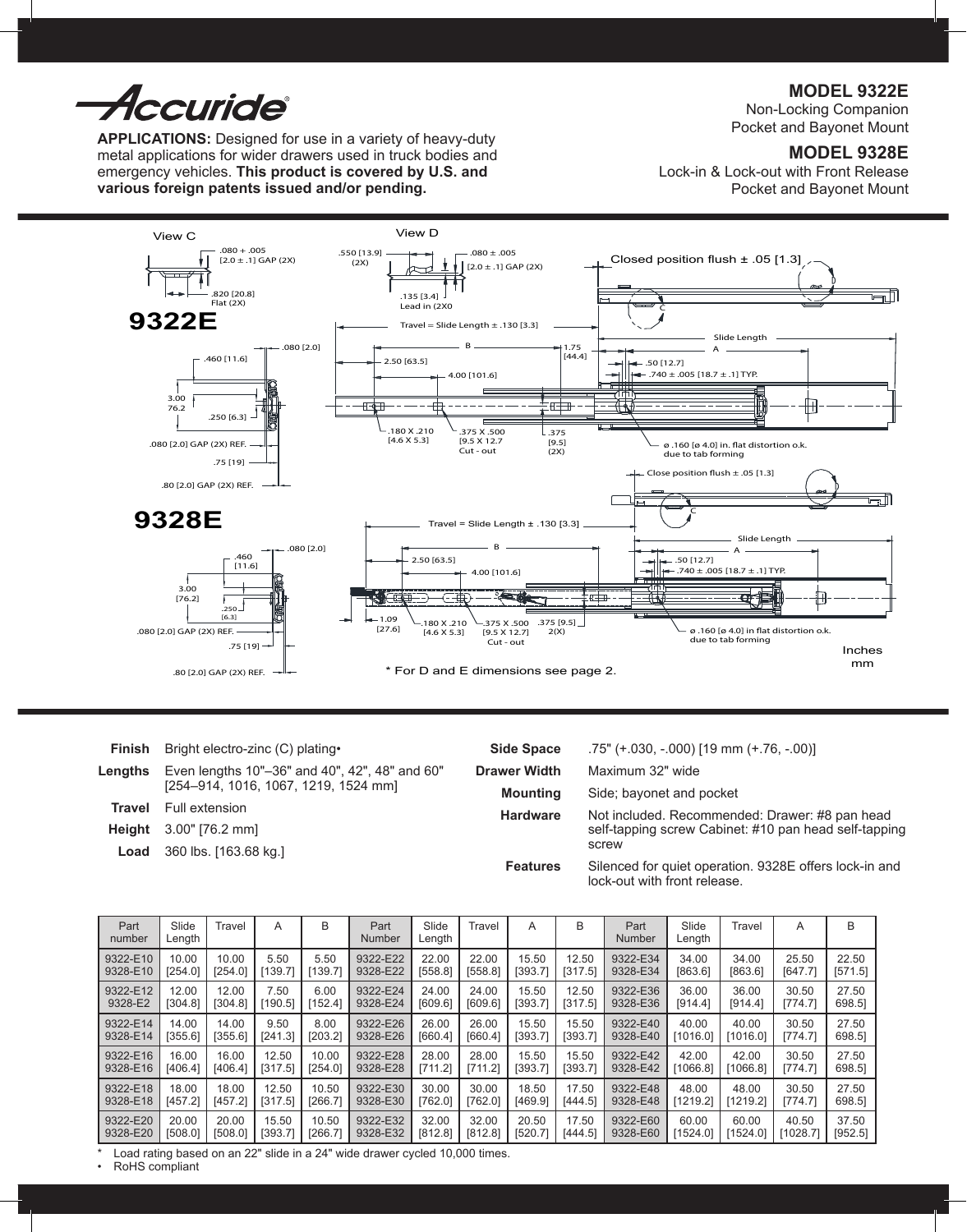*Accuride* 

**APPLICATIONS:** Designed for use in a variety of heavy-duty metal applications for wider drawers used in truck bodies and emergency vehicles. **This product is covered by U.S. and various foreign patents issued and/or pending.**

**MODEL 9322E**

Non-Locking Companion Pocket and Bayonet Mount

# **MODEL 9328E**

Lock-in & Lock-out with Front Release Pocket and Bayonet Mount



| Finish  | Bright electro-zinc (C) plating.               | <b>Side Space</b>                                     | .75" (+.030, -.000) [19 mm (+.76, -.00)]                                               |  |  |
|---------|------------------------------------------------|-------------------------------------------------------|----------------------------------------------------------------------------------------|--|--|
| Lengths | Even lengths 10"-36" and 40", 42", 48" and 60" | <b>Drawer Width</b>                                   | Maximum 32" wide                                                                       |  |  |
|         | [254-914, 1016, 1067, 1219, 1524 mm]           | <b>Mounting</b>                                       | Side; bayonet and pocket                                                               |  |  |
| Travel  | Full extension                                 | <b>Hardware</b>                                       | Not included. Recommended: Drawer: #8 pan head                                         |  |  |
| Heiaht  | 3.00" [76.2 mm]                                | self-tapping screw Cabinet: #10 pan head self-tapping |                                                                                        |  |  |
| Load    | 360 lbs. [163.68 kg.]                          |                                                       | screw                                                                                  |  |  |
|         |                                                | <b>Features</b>                                       | Silenced for quiet operation. 9328E offers lock-in and<br>lock-out with front release. |  |  |

| Part<br>number | Slide<br>Length | Travel  | Α       | B       | Part<br>Number | Slide<br>Length | Travel  | A       | B       | Part<br><b>Number</b> | Slide<br>Length | Travel   | Α        | B       |
|----------------|-----------------|---------|---------|---------|----------------|-----------------|---------|---------|---------|-----------------------|-----------------|----------|----------|---------|
| 9322-E10       | 10.00           | 10.00   | 5.50    | 5.50    | 9322-E22       | 22.00           | 22.00   | 15.50   | 12.50   | 9322-E34              | 34.00           | 34.00    | 25.50    | 22.50   |
| 9328-E10       | [254.0]         | [254.0] | [139.7] | [139.7] | 9328-E22       | [558.8]         | [558.8] | [393.7] | [317.5] | 9328-E34              | [863.6]         | [863.6]  | [647.7]  | [571.5] |
| 9322-E12       | 12.00           | 12.00   | 7.50    | 6.00    | 9322-E24       | 24.00           | 24.00   | 15.50   | 12.50   | 9322-E36              | 36.00           | 36.00    | 30.50    | 27.50   |
| 9328-E2        | [304.8]         | [304.8] | [190.5] | [152.4] | 9328-E24       | [609.6]         | [609.6] | [393.7] | [317.5] | 9328-E36              | [914.4]         | [914.4]  | [774.7]  | 698.5]  |
| 9322-E14       | 14.00           | 14.00   | 9.50    | 8.00    | 9322-E26       | 26.00           | 26.00   | 15.50   | 15.50   | 9322-E40              | 40.00           | 40.00    | 30.50    | 27.50   |
| 9328-E14       | [355.6]         | [355.6] | [241.3] | [203.2] | 9328-E26       | [660.4]         | [660.4] | [393.7] | [393.7] | 9328-E40              | [1016.0]        | [1016.0] | [774.7]  | 698.51  |
| 9322-E16       | 16.00           | 16.00   | 12.50   | 10.00   | 9322-E28       | 28.00           | 28.00   | 15.50   | 15.50   | 9322-E42              | 42.00           | 42.00    | 30.50    | 27.50   |
| 9328-E16       | [406.4]         | [406.4] | [317.5] | [254.0] | 9328-E28       | [711.2]         | [711.2] | [393.7] | [393.7] | 9328-E42              | [1066.8]        | [1066.8] | [774.7]  | 698.5]  |
| 9322-E18       | 18.00           | 18.00   | 12.50   | 10.50   | 9322-E30       | 30.00           | 30.00   | 18.50   | 17.50   | 9322-E48              | 48.00           | 48.00    | 30.50    | 27.50   |
| 9328-E18       | [457.2]         | [457.2] | [317.5] | [266.7] | 9328-E30       | [762.0]         | [762.0] | [469.9] | [444.5] | 9328-E48              | [1219.2]        | [1219.2] | [774.7]  | 698.51  |
| 9322-E20       | 20.00           | 20.00   | 15.50   | 10.50   | 9322-E32       | 32.00           | 32.00   | 20.50   | 17.50   | 9322-E60              | 60.00           | 60.00    | 40.50    | 37.50   |
| 9328-E20       | [508.0]         | [508.0] | [393.7] | [266.7] | 9328-E32       | [812.8]         | [812.8] | [520.7] | [444.5] | 9328-E60              | [1524.0]        | [1524.0] | [1028.7] | [952.5] |

\* Load rating based on an 22" slide in a 24" wide drawer cycled 10,000 times.

• RoHS compliant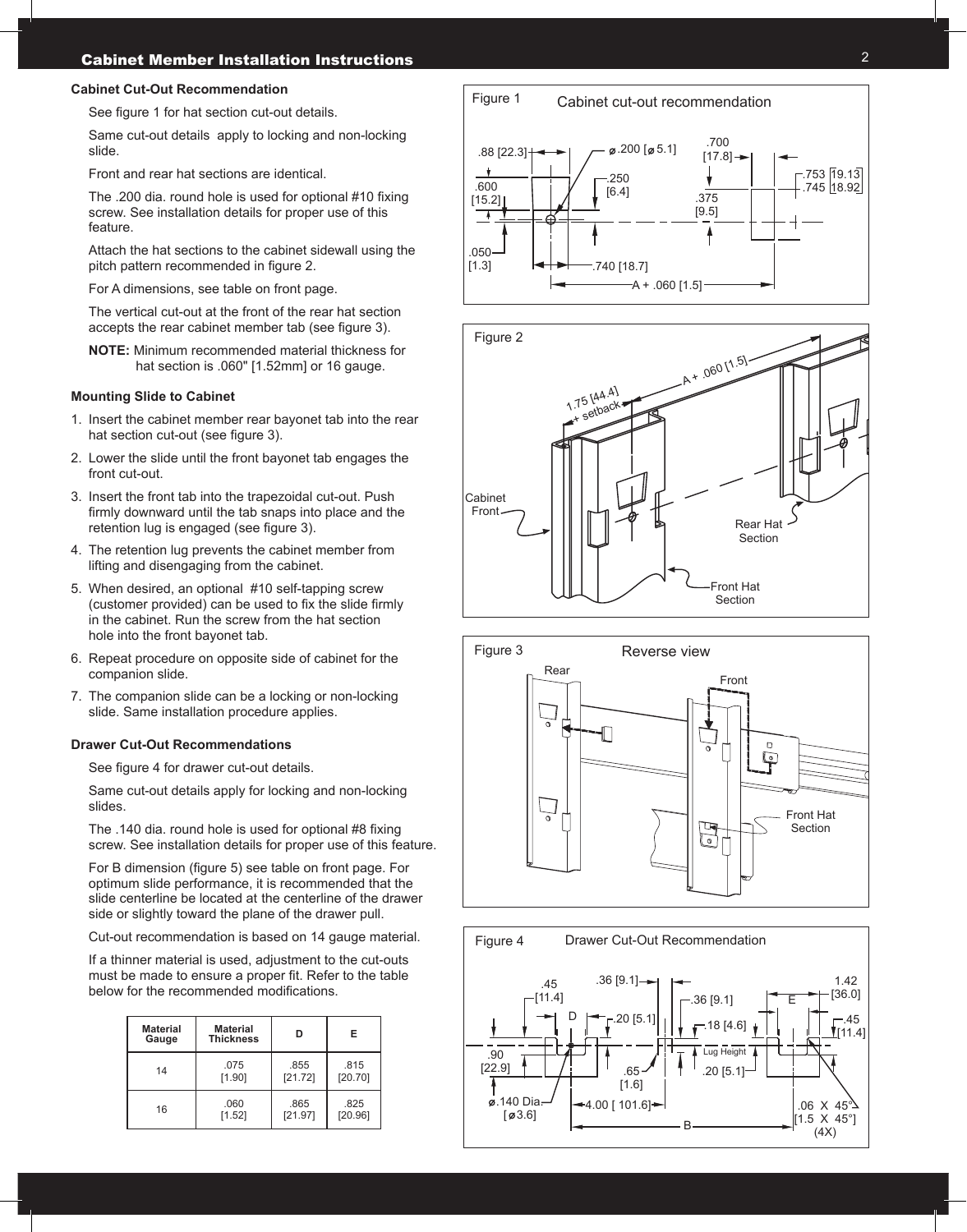#### **Cabinet Cut-Out Recommendation**

See figure 1 for hat section cut-out details.

Same cut-out details apply to locking and non-locking slide.

Front and rear hat sections are identical.

The .200 dia. round hole is used for optional #10 fixing screw. See installation details for proper use of this feature.

Attach the hat sections to the cabinet sidewall using the pitch pattern recommended in figure 2.

For A dimensions, see table on front page.

The vertical cut-out at the front of the rear hat section accepts the rear cabinet member tab (see figure 3).

**NOTE:** Minimum recommended material thickness for hat section is .060" [1.52mm] or 16 gauge.

#### **Mounting Slide to Cabinet**

- 1. Insert the cabinet member rear bayonet tab into the rear hat section cut-out (see figure 3).
- 2. Lower the slide until the front bayonet tab engages the front cut-out.
- 3. Insert the front tab into the trapezoidal cut-out. Push firmly downward until the tab snaps into place and the retention lug is engaged (see figure 3).
- 4. The retention lug prevents the cabinet member from lifting and disengaging from the cabinet.
- 5. When desired, an optional #10 self-tapping screw (customer provided) can be used to fix the slide firmly in the cabinet. Run the screw from the hat section hole into the front bayonet tab.
- 6. Repeat procedure on opposite side of cabinet for the companion slide.
- 7. The companion slide can be a locking or non-locking slide. Same installation procedure applies.

#### **Drawer Cut-Out Recommendations**

See figure 4 for drawer cut-out details.

Same cut-out details apply for locking and non-locking slides.

The .140 dia. round hole is used for optional #8 fixing screw. See installation details for proper use of this feature.

For B dimension (figure 5) see table on front page. For optimum slide performance, it is recommended that the slide centerline be located at the centerline of the drawer side or slightly toward the plane of the drawer pull.

Cut-out recommendation is based on 14 gauge material.

If a thinner material is used, adjustment to the cut-outs must be made to ensure a proper fit. Refer to the table below for the recommended modifications.

| <b>Material</b><br>Gauge | <b>Material</b><br><b>Thickness</b> | n       | Е       |
|--------------------------|-------------------------------------|---------|---------|
| 14                       | .075                                | .855    | .815    |
|                          | [1.90]                              | [21.72] | [20.70] |
| 16                       | .060                                | .865    | .825    |
|                          | [1.52]                              | [21.97] | [20.96] |